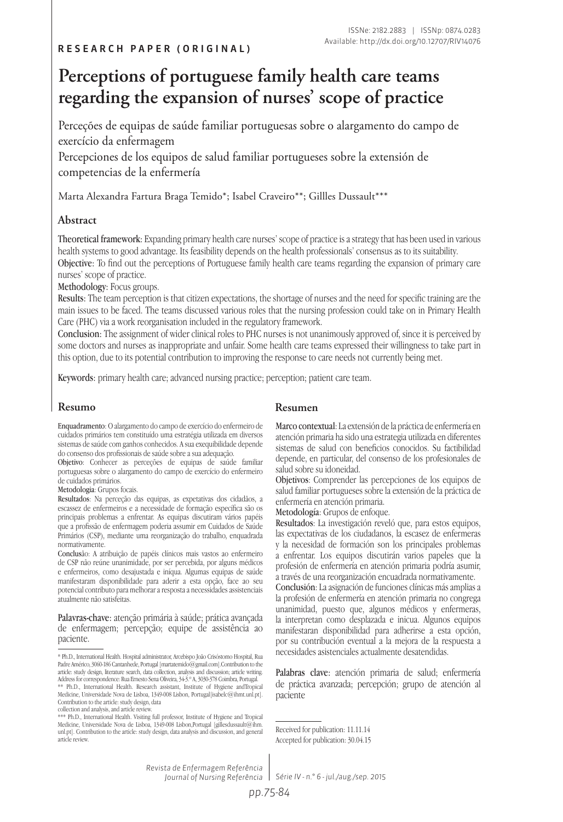# **Perceptions of portuguese family health care teams regarding the expansion of nurses' scope of practice**

Perceções de equipas de saúde familiar portuguesas sobre o alargamento do campo de exercício da enfermagem

Percepciones de los equipos de salud familiar portugueses sobre la extensión de competencias de la enfermería

Marta Alexandra Fartura Braga Temido\*; Isabel Craveiro\*\*; Gillles Dussault\*\*\*

#### **Abstract**

Theoretical framework: Expanding primary health care nurses' scope of practice is a strategy that has been used in various health systems to good advantage. Its feasibility depends on the health professionals' consensus as to its suitability. Objective: To find out the perceptions of Portuguese family health care teams regarding the expansion of primary care nurses' scope of practice.

Methodology: Focus groups.

Results: The team perception is that citizen expectations, the shortage of nurses and the need for specific training are the main issues to be faced. The teams discussed various roles that the nursing profession could take on in Primary Health Care (PHC) via a work reorganisation included in the regulatory framework.

Conclusion: The assignment of wider clinical roles to PHC nurses is not unanimously approved of, since it is perceived by some doctors and nurses as inappropriate and unfair. Some health care teams expressed their willingness to take part in this option, due to its potential contribution to improving the response to care needs not currently being met.

Keywords: primary health care; advanced nursing practice; perception; patient care team.

#### **Resumo Resumen**

Enquadramento: O alargamento do campo de exercício do enfermeiro de cuidados primários tem constituído uma estratégia utilizada em diversos sistemas de saúde com ganhos conhecidos. A sua exequibilidade depende do consenso dos profissionais de saúde sobre a sua adequação.

Objetivo: Conhecer as perceções de equipas de saúde familiar portuguesas sobre o alargamento do campo de exercício do enfermeiro de cuidados primários.

#### Metodologia: Grupos focais.

Resultados: Na perceção das equipas, as expetativas dos cidadãos, a escassez de enfermeiros e a necessidade de formação específica são os principais problemas a enfrentar. As equipas discutiram vários papéis que a profissão de enfermagem poderia assumir em Cuidados de Saúde Primários (CSP), mediante uma reorganização do trabalho, enquadrada normativamente.

Conclusão: A atribuição de papéis clínicos mais vastos ao enfermeiro de CSP não reúne unanimidade, por ser percebida, por alguns médicos e enfermeiros, como desajustada e iníqua. Algumas equipas de saúde manifestaram disponibilidade para aderir a esta opção, face ao seu potencial contributo para melhorar a resposta a necessidades assistenciais atualmente não satisfeitas.

Palavras-chave: atenção primária à saúde; prática avançada de enfermagem; percepção; equipe de assistência ao paciente.

collection and analysis, and article review.

Marco contextual: La extensión de la práctica de enfermería en atención primaria ha sido una estrategia utilizada en diferentes sistemas de salud con beneficios conocidos. Su factibilidad depende, en particular, del consenso de los profesionales de salud sobre su idoneidad.

Objetivos: Comprender las percepciones de los equipos de salud familiar portugueses sobre la extensión de la práctica de enfermería en atención primaria.

Metodología: Grupos de enfoque.

Resultados: La investigación reveló que, para estos equipos, las expectativas de los ciudadanos, la escasez de enfermeras y la necesidad de formación son los principales problemas a enfrentar. Los equipos discutirán varios papeles que la profesión de enfermería en atención primaria podría asumir, a través de una reorganización encuadrada normativamente.

Conclusión: La asignación de funciones clínicas más amplias a la profesión de enfermería en atención primaria no congrega unanimidad, puesto que, algunos médicos y enfermeras, la interpretan como desplazada e inicua. Algunos equipos manifestaran disponibilidad para adherirse a esta opción, por su contribución eventual a la mejora de la respuesta a necesidades asistenciales actualmente desatendidas.

Palabras clave: atención primaria de salud; enfermería de práctica avanzada; percepción; grupo de atención al paciente

*Revista de Enfermagem Referência Journal of Nursing Referência*

*Série IV - n.° 6 - jul./aug./sep. 2015*

<sup>\*</sup> Ph.D., International Health. Hospital administrator, Arcebispo João Crisóstomo Hospital, Rua Padre Américo, 3060-186 Cantanhede, Portugal [martatemido@gmail.com].Contribution to the article: study design, literature search, data collection, analysis and discussion; article writing. Address for correspondence: Rua Ernesto Sena Oliveira, 34-3.º A, 3030-378 Coimbra, Portugal. \*\* Ph.D., International Health. Research assistant, Institute of Hygiene andTropical Medicine, Universidade Nova de Lisboa, 1349-008 Lisbon, Portugal[isabelc@ihmt.unl.pt]. Contribution to the article: study design, data

<sup>\*\*\*</sup> Ph.D., International Health. Visiting full professor, Institute of Hygiene and Tropical Medicine, Universidade Nova de Lisboa, 1349-008 Lisbon,Portugal [gillesdussault@ihm. unl.pt]. Contribution to the article: study design, data analysis and discussion, and general article review.

Received for publication: 11.11.14 Accepted for publication: 30.04.15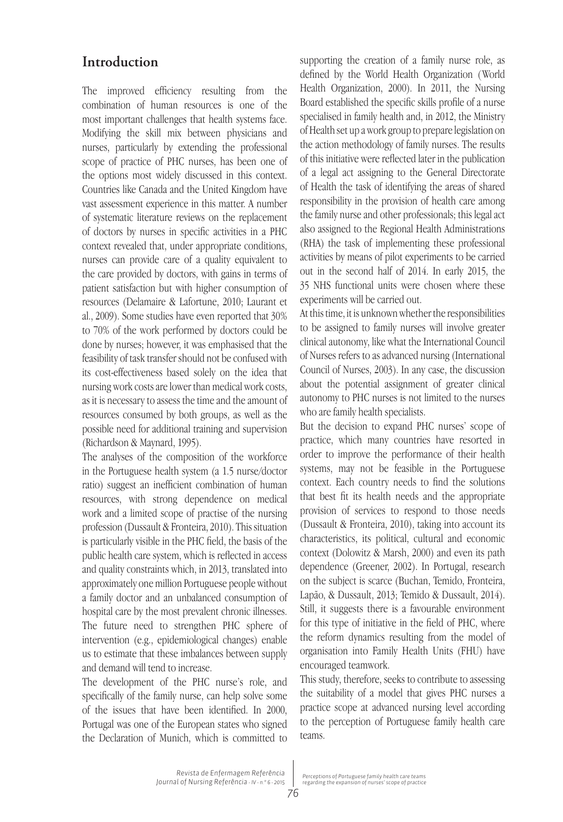# **Introduction**

The improved efficiency resulting from the combination of human resources is one of the most important challenges that health systems face. Modifying the skill mix between physicians and nurses, particularly by extending the professional scope of practice of PHC nurses, has been one of the options most widely discussed in this context. Countries like Canada and the United Kingdom have vast assessment experience in this matter. A number of systematic literature reviews on the replacement of doctors by nurses in specific activities in a PHC context revealed that, under appropriate conditions, nurses can provide care of a quality equivalent to the care provided by doctors, with gains in terms of patient satisfaction but with higher consumption of resources (Delamaire & Lafortune, 2010; Laurant et al., 2009). Some studies have even reported that 30% to 70% of the work performed by doctors could be done by nurses; however, it was emphasised that the feasibility of task transfer should not be confused with its cost-effectiveness based solely on the idea that nursing work costs are lower than medical work costs, as it is necessary to assess the time and the amount of resources consumed by both groups, as well as the possible need for additional training and supervision (Richardson & Maynard, 1995).

The analyses of the composition of the workforce in the Portuguese health system (a 1.5 nurse/doctor ratio) suggest an inefficient combination of human resources, with strong dependence on medical work and a limited scope of practise of the nursing profession (Dussault & Fronteira, 2010). This situation is particularly visible in the PHC field, the basis of the public health care system, which is reflected in access and quality constraints which, in 2013, translated into approximately one million Portuguese people without a family doctor and an unbalanced consumption of hospital care by the most prevalent chronic illnesses. The future need to strengthen PHC sphere of intervention (e.g., epidemiological changes) enable us to estimate that these imbalances between supply and demand will tend to increase.

The development of the PHC nurse's role, and specifically of the family nurse, can help solve some of the issues that have been identified. In 2000, Portugal was one of the European states who signed the Declaration of Munich, which is committed to supporting the creation of a family nurse role, as defined by the World Health Organization ( World Health Organization, 2000). In 2011, the Nursing Board established the specific skills profile of a nurse specialised in family health and, in 2012, the Ministry of Health set up a work group to prepare legislation on the action methodology of family nurses. The results of this initiative were reflected later in the publication of a legal act assigning to the General Directorate of Health the task of identifying the areas of shared responsibility in the provision of health care among the family nurse and other professionals; this legal act also assigned to the Regional Health Administrations (RHA) the task of implementing these professional activities by means of pilot experiments to be carried out in the second half of 2014. In early 2015, the 35 NHS functional units were chosen where these experiments will be carried out.

At this time, it is unknown whether the responsibilities to be assigned to family nurses will involve greater clinical autonomy, like what the International Council of Nurses refers to as advanced nursing (International Council of Nurses, 2003). In any case, the discussion about the potential assignment of greater clinical autonomy to PHC nurses is not limited to the nurses who are family health specialists.

But the decision to expand PHC nurses' scope of practice, which many countries have resorted in order to improve the performance of their health systems, may not be feasible in the Portuguese context. Each country needs to find the solutions that best fit its health needs and the appropriate provision of services to respond to those needs (Dussault & Fronteira, 2010), taking into account its characteristics, its political, cultural and economic context (Dolowitz & Marsh, 2000) and even its path dependence (Greener, 2002). In Portugal, research on the subject is scarce (Buchan, Temido, Fronteira, Lapão, & Dussault, 2013; Temido & Dussault, 2014). Still, it suggests there is a favourable environment for this type of initiative in the field of PHC, where the reform dynamics resulting from the model of organisation into Family Health Units (FHU) have encouraged teamwork.

This study, therefore, seeks to contribute to assessing the suitability of a model that gives PHC nurses a practice scope at advanced nursing level according to the perception of Portuguese family health care teams.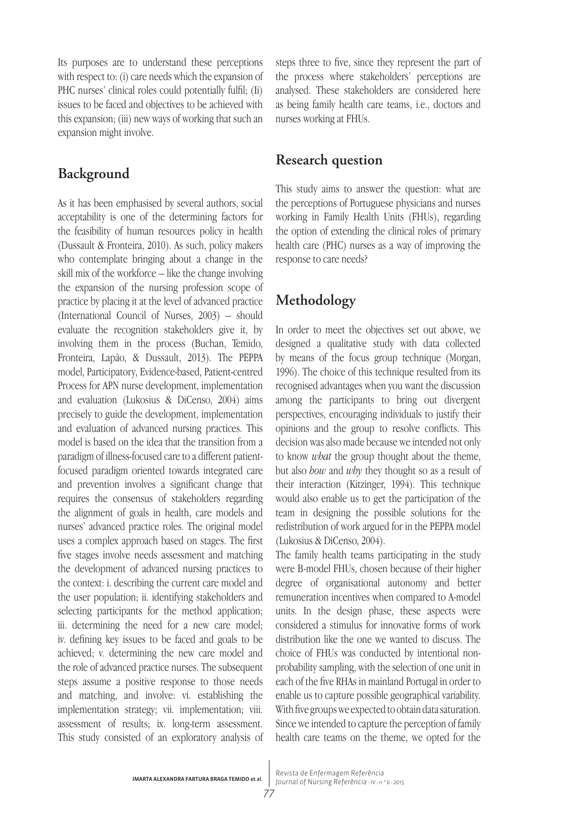Its purposes are to understand these perceptions with respect to: (i) care needs which the expansion of PHC nurses' clinical roles could potentially fulfil; (Ii) issues to be faced and objectives to be achieved with this expansion; (iii) new ways of working that such an expansion might involve.

# **Background**

As it has been emphasised by several authors, social acceptability is one of the determining factors for the feasibility of human resources policy in health (Dussault & Fronteira, 2010). As such, policy makers who contemplate bringing about a change in the skill mix of the workforce – like the change involving the expansion of the nursing profession scope of practice by placing it at the level of advanced practice (International Council of Nurses, 2003) – should evaluate the recognition stakeholders give it, by involving them in the process (Buchan, Temido, Fronteira, Lapão, & Dussault, 2013). The PEPPA model, Participatory, Evidence-based, Patient-centred Process for APN nurse development, implementation and evaluation (Lukosius & DiCenso, 2004) aims precisely to guide the development, implementation and evaluation of advanced nursing practices. This model is based on the idea that the transition from a paradigm of illness-focused care to a different patientfocused paradigm oriented towards integrated care and prevention involves a significant change that requires the consensus of stakeholders regarding the alignment of goals in health, care models and nurses' advanced practice roles. The original model uses a complex approach based on stages. The first five stages involve needs assessment and matching the development of advanced nursing practices to the context: i. describing the current care model and the user population; ii. identifying stakeholders and selecting participants for the method application; iii. determining the need for a new care model; iv. defining key issues to be faced and goals to be achieved; v. determining the new care model and the role of advanced practice nurses. The subsequent steps assume a positive response to those needs and matching, and involve: vi. establishing the implementation strategy; vii. implementation; viii. assessment of results; ix. long-term assessment. This study consisted of an exploratory analysis of steps three to five, since they represent the part of the process where stakeholders' perceptions are analysed. These stakeholders are considered here as being family health care teams, i.e., doctors and nurses working at FHUs.

# **Research question**

This study aims to answer the question: what are the perceptions of Portuguese physicians and nurses working in Family Health Units (FHUs), regarding the option of extending the clinical roles of primary health care (PHC) nurses as a way of improving the response to care needs?

# **Methodology**

In order to meet the objectives set out above, we designed a qualitative study with data collected by means of the focus group technique (Morgan, 1996). The choice of this technique resulted from its recognised advantages when you want the discussion among the participants to bring out divergent perspectives, encouraging individuals to justify their opinions and the group to resolve conflicts. This decision was also made because we intended not only to know *what* the group thought about the theme, but also *how* and *why* they thought so as a result of their interaction (Kitzinger, 1994). This technique would also enable us to get the participation of the team in designing the possible solutions for the redistribution of work argued for in the PEPPA model (Lukosius & DiCenso, 2004).

The family health teams participating in the study were B-model FHUs, chosen because of their higher degree of organisational autonomy and better remuneration incentives when compared to A-model units. In the design phase, these aspects were considered a stimulus for innovative forms of work distribution like the one we wanted to discuss. The choice of FHUs was conducted by intentional nonprobability sampling, with the selection of one unit in each of the five RHAs in mainland Portugal in order to enable us to capture possible geographical variability. With five groups we expected to obtain data saturation. Since we intended to capture the perception of family health care teams on the theme, we opted for the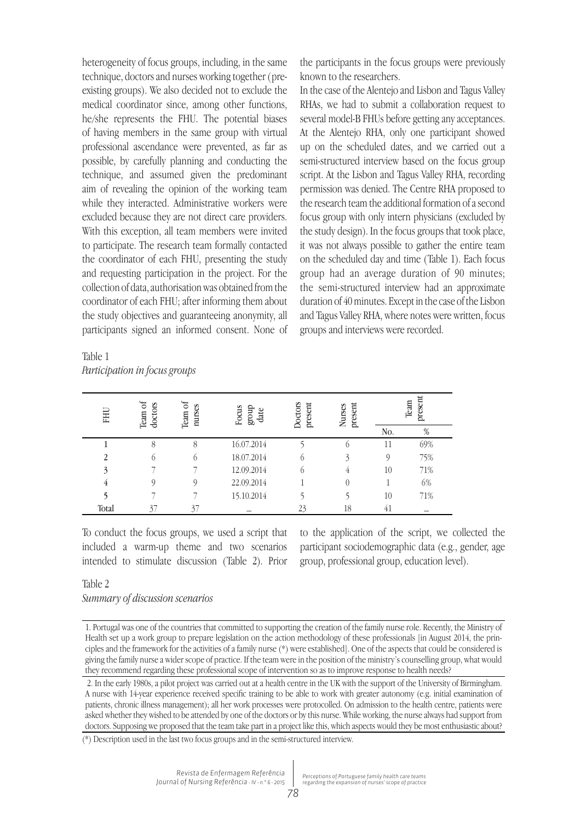heterogeneity of focus groups, including, in the same technique, doctors and nurses working together (preexisting groups). We also decided not to exclude the medical coordinator since, among other functions, he/she represents the FHU. The potential biases of having members in the same group with virtual professional ascendance were prevented, as far as possible, by carefully planning and conducting the technique, and assumed given the predominant aim of revealing the opinion of the working team while they interacted. Administrative workers were excluded because they are not direct care providers. With this exception, all team members were invited to participate. The research team formally contacted the coordinator of each FHU, presenting the study and requesting participation in the project. For the collection of data, authorisation was obtained from the coordinator of each FHU; after informing them about the study objectives and guaranteeing anonymity, all participants signed an informed consent. None of the participants in the focus groups were previously known to the researchers.

In the case of the Alentejo and Lisbon and Tagus Valley RHAs, we had to submit a collaboration request to several model-B FHUs before getting any acceptances. At the Alentejo RHA, only one participant showed up on the scheduled dates, and we carried out a semi-structured interview based on the focus group script. At the Lisbon and Tagus Valley RHA, recording permission was denied. The Centre RHA proposed to the research team the additional formation of a second focus group with only intern physicians (excluded by the study design). In the focus groups that took place, it was not always possible to gather the entire team on the scheduled day and time (Table 1). Each focus group had an average duration of 90 minutes; the semi-structured interview had an approximate duration of 40 minutes. Except in the case of the Lisbon and Tagus Valley RHA, where notes were written, focus groups and interviews were recorded.

| FHU   | ಕ<br>doctors<br>Team | ್<br>nurses<br>Team | Focus<br>dnong<br>date | Doctors<br>present | present<br><b>Nurses</b> | present<br>Team |      |
|-------|----------------------|---------------------|------------------------|--------------------|--------------------------|-----------------|------|
|       |                      |                     |                        |                    |                          | No.             | $\%$ |
|       | 8                    | 8                   | 16.07.2014             |                    | O                        | 11              | 69%  |
| 2     | $\circ$              | $^{(1)}$            | 18.07.2014             | $\circ$            | 3                        | $\mathcal{O}$   | 75%  |
| 3     |                      |                     | 12.09.2014             | O.                 | 4                        | 10              | 71%  |
|       |                      |                     | 22.09.2014             |                    | $\overline{0}$           |                 | 6%   |
|       |                      |                     | 15.10.2014             |                    |                          | 10              | 71%  |
| Total | 37                   | 37                  |                        | 23                 | 18                       | 41              |      |

Table 1 *Participation in focus groups*

To conduct the focus groups, we used a script that included a warm-up theme and two scenarios intended to stimulate discussion (Table 2). Prior

to the application of the script, we collected the participant sociodemographic data (e.g., gender, age group, professional group, education level).

#### Table 2

*Summary of discussion scenarios*

<sup>1.</sup> Portugal was one of the countries that committed to supporting the creation of the family nurse role. Recently, the Ministry of Health set up a work group to prepare legislation on the action methodology of these professionals [in August 2014, the principles and the framework for the activities of a family nurse (\*) were established]. One of the aspects that could be considered is giving the family nurse a wider scope of practice. If the team were in the position of the ministry's counselling group, what would they recommend regarding these professional scope of intervention so as to improve response to health needs?

<sup>2.</sup> In the early 1980s, a pilot project was carried out at a health centre in the UK with the support of the University of Birmingham. A nurse with 14-year experience received specific training to be able to work with greater autonomy (e.g. initial examination of patients, chronic illness management); all her work processes were protocolled. On admission to the health centre, patients were asked whether they wished to be attended by one of the doctors or by this nurse. While working, the nurse always had support from doctors. Supposing we proposed that the team take part in a project like this, which aspects would they be most enthusiastic about?

<sup>(\*)</sup> Description used in the last two focus groups and in the semi-structured interview.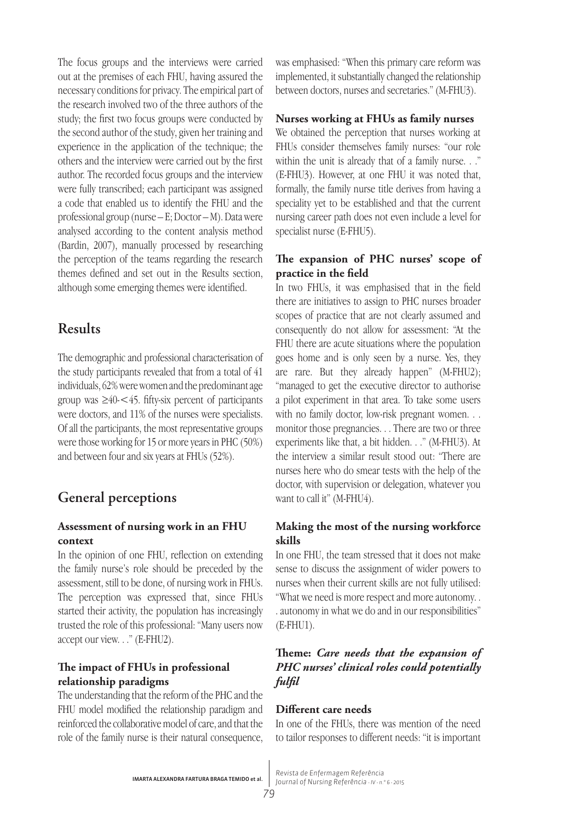The focus groups and the interviews were carried out at the premises of each FHU, having assured the necessary conditions for privacy. The empirical part of the research involved two of the three authors of the study; the first two focus groups were conducted by the second author of the study, given her training and experience in the application of the technique; the others and the interview were carried out by the first author. The recorded focus groups and the interview were fully transcribed; each participant was assigned a code that enabled us to identify the FHU and the professional group (nurse – E; Doctor – M). Data were analysed according to the content analysis method (Bardin, 2007), manually processed by researching the perception of the teams regarding the research themes defined and set out in the Results section, although some emerging themes were identified.

# **Results**

The demographic and professional characterisation of the study participants revealed that from a total of 41 individuals, 62% were women and the predominant age group was  $\geq 40 < 45$ . fifty-six percent of participants were doctors, and 11% of the nurses were specialists. Of all the participants, the most representative groups were those working for 15 or more years in PHC (50%) and between four and six years at FHUs (52%).

# **General perceptions**

# **Assessment of nursing work in an FHU context**

In the opinion of one FHU, reflection on extending the family nurse's role should be preceded by the assessment, still to be done, of nursing work in FHUs. The perception was expressed that, since FHUs started their activity, the population has increasingly trusted the role of this professional: "Many users now accept our view. . ." (E-FHU2).

# **The impact of FHUs in professional relationship paradigms**

The understanding that the reform of the PHC and the FHU model modified the relationship paradigm and reinforced the collaborative model of care, and that the role of the family nurse is their natural consequence, was emphasised: "When this primary care reform was implemented, it substantially changed the relationship between doctors, nurses and secretaries." (M-FHU3).

# **Nurses working at FHUs as family nurses**

We obtained the perception that nurses working at FHUs consider themselves family nurses: "our role within the unit is already that of a family nurse. . ." (E-FHU3). However, at one FHU it was noted that, formally, the family nurse title derives from having a speciality yet to be established and that the current nursing career path does not even include a level for specialist nurse (E-FHU5).

## **The expansion of PHC nurses' scope of practice in the field**

In two FHUs, it was emphasised that in the field there are initiatives to assign to PHC nurses broader scopes of practice that are not clearly assumed and consequently do not allow for assessment: "At the FHU there are acute situations where the population goes home and is only seen by a nurse. Yes, they are rare. But they already happen" (M-FHU2); "managed to get the executive director to authorise a pilot experiment in that area. To take some users with no family doctor, low-risk pregnant women. . . monitor those pregnancies. . . There are two or three experiments like that, a bit hidden. . ." (M-FHU3). At the interview a similar result stood out: "There are nurses here who do smear tests with the help of the doctor, with supervision or delegation, whatever you want to call it" (M-FHU4).

# **Making the most of the nursing workforce skills**

In one FHU, the team stressed that it does not make sense to discuss the assignment of wider powers to nurses when their current skills are not fully utilised: "What we need is more respect and more autonomy. . . autonomy in what we do and in our responsibilities" (E-FHU1).

# **Theme:** *Care needs that the expansion of PHC nurses' clinical roles could potentially fulfil*

### **Different care needs**

In one of the FHUs, there was mention of the need to tailor responses to different needs: "it is important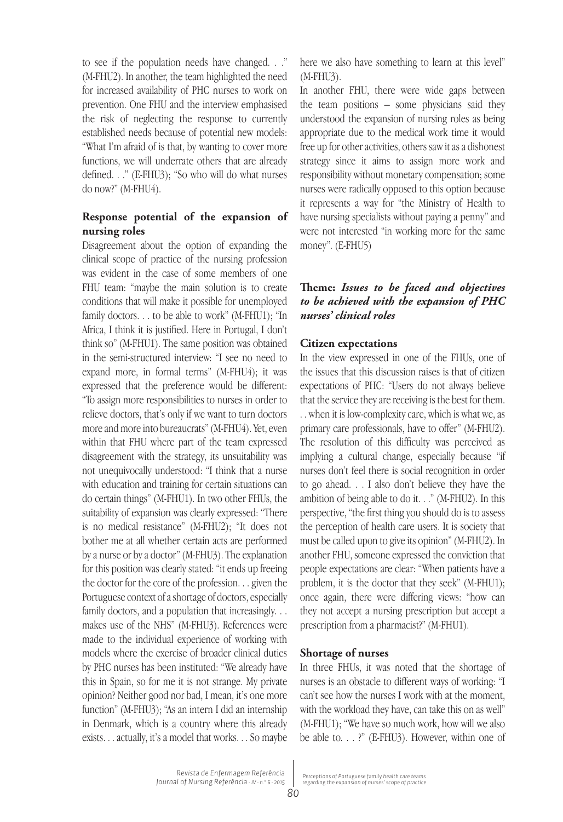to see if the population needs have changed. . ." (M-FHU2). In another, the team highlighted the need for increased availability of PHC nurses to work on prevention. One FHU and the interview emphasised the risk of neglecting the response to currently established needs because of potential new models: "What I'm afraid of is that, by wanting to cover more functions, we will underrate others that are already defined. . ." (E-FHU3); "So who will do what nurses do now?" (M-FHU4).

# **Response potential of the expansion of nursing roles**

Disagreement about the option of expanding the clinical scope of practice of the nursing profession was evident in the case of some members of one FHU team: "maybe the main solution is to create conditions that will make it possible for unemployed family doctors. . . to be able to work" (M-FHU1); "In Africa, I think it is justified. Here in Portugal, I don't think so" (M-FHU1). The same position was obtained in the semi-structured interview: "I see no need to expand more, in formal terms" (M-FHU4); it was expressed that the preference would be different: "To assign more responsibilities to nurses in order to relieve doctors, that's only if we want to turn doctors more and more into bureaucrats" (M-FHU4). Yet, even within that FHU where part of the team expressed disagreement with the strategy, its unsuitability was not unequivocally understood: "I think that a nurse with education and training for certain situations can do certain things" (M-FHU1). In two other FHUs, the suitability of expansion was clearly expressed: "There is no medical resistance" (M-FHU2); "It does not bother me at all whether certain acts are performed by a nurse or by a doctor" (M-FHU3). The explanation for this position was clearly stated: "it ends up freeing the doctor for the core of the profession. . . given the Portuguese context of a shortage of doctors, especially family doctors, and a population that increasingly. . . makes use of the NHS" (M-FHU3). References were made to the individual experience of working with models where the exercise of broader clinical duties by PHC nurses has been instituted: "We already have this in Spain, so for me it is not strange. My private opinion? Neither good nor bad, I mean, it's one more function" (M-FHU3); "As an intern I did an internship in Denmark, which is a country where this already exists. . . actually, it's a model that works. . . So maybe

here we also have something to learn at this level" (M-FHU3).

In another FHU, there were wide gaps between the team positions – some physicians said they understood the expansion of nursing roles as being appropriate due to the medical work time it would free up for other activities, others saw it as a dishonest strategy since it aims to assign more work and responsibility without monetary compensation; some nurses were radically opposed to this option because it represents a way for "the Ministry of Health to have nursing specialists without paying a penny" and were not interested "in working more for the same money". (E-FHU5)

# **Theme:** *Issues to be faced and objectives to be achieved with the expansion of PHC nurses' clinical roles*

#### **Citizen expectations**

In the view expressed in one of the FHUs, one of the issues that this discussion raises is that of citizen expectations of PHC: "Users do not always believe that the service they are receiving is the best for them. . . when it is low-complexity care, which is what we, as primary care professionals, have to offer" (M-FHU2). The resolution of this difficulty was perceived as implying a cultural change, especially because "if nurses don't feel there is social recognition in order to go ahead. . . I also don't believe they have the ambition of being able to do it. . ." (M-FHU2). In this perspective, "the first thing you should do is to assess the perception of health care users. It is society that must be called upon to give its opinion" (M-FHU2). In another FHU, someone expressed the conviction that people expectations are clear: "When patients have a problem, it is the doctor that they seek" (M-FHU1); once again, there were differing views: "how can they not accept a nursing prescription but accept a prescription from a pharmacist?" (M-FHU1).

#### **Shortage of nurses**

In three FHUs, it was noted that the shortage of nurses is an obstacle to different ways of working: "I can't see how the nurses I work with at the moment, with the workload they have, can take this on as well" (M-FHU1); "We have so much work, how will we also be able to. . . ?" (E-FHU3). However, within one of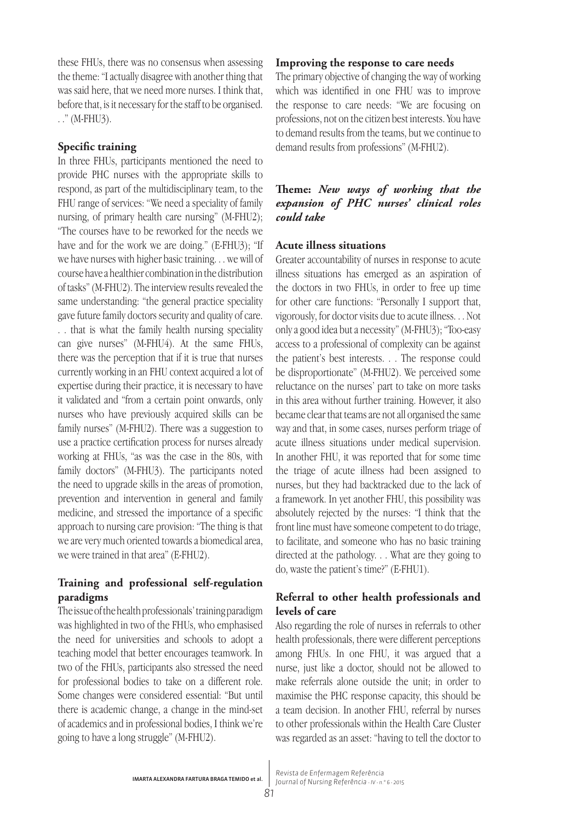these FHUs, there was no consensus when assessing the theme: "I actually disagree with another thing that was said here, that we need more nurses. I think that, before that, is it necessary for the staff to be organised. . ." (M-FHU3).

### **Specific training**

In three FHUs, participants mentioned the need to provide PHC nurses with the appropriate skills to respond, as part of the multidisciplinary team, to the FHU range of services: "We need a speciality of family nursing, of primary health care nursing" (M-FHU2); "The courses have to be reworked for the needs we have and for the work we are doing." (E-FHU3); "If we have nurses with higher basic training. . . we will of course have a healthier combination in the distribution of tasks" (M-FHU2). The interview results revealed the same understanding: "the general practice speciality gave future family doctors security and quality of care. . . that is what the family health nursing speciality can give nurses" (M-FHU4). At the same FHUs, there was the perception that if it is true that nurses currently working in an FHU context acquired a lot of expertise during their practice, it is necessary to have it validated and "from a certain point onwards, only nurses who have previously acquired skills can be family nurses" (M-FHU2). There was a suggestion to use a practice certification process for nurses already working at FHUs, "as was the case in the 80s, with family doctors" (M-FHU3). The participants noted the need to upgrade skills in the areas of promotion, prevention and intervention in general and family medicine, and stressed the importance of a specific approach to nursing care provision: "The thing is that we are very much oriented towards a biomedical area, we were trained in that area" (E-FHU2).

## **Training and professional self-regulation paradigms**

The issue of the health professionals' training paradigm was highlighted in two of the FHUs, who emphasised the need for universities and schools to adopt a teaching model that better encourages teamwork. In two of the FHUs, participants also stressed the need for professional bodies to take on a different role. Some changes were considered essential: "But until there is academic change, a change in the mind-set of academics and in professional bodies, I think we're going to have a long struggle" (M-FHU2).

#### **Improving the response to care needs**

The primary objective of changing the way of working which was identified in one FHU was to improve the response to care needs: "We are focusing on professions, not on the citizen best interests. You have to demand results from the teams, but we continue to demand results from professions" (M-FHU2).

## **Theme:** *New ways of working that the expansion of PHC nurses' clinical roles could take*

#### **Acute illness situations**

Greater accountability of nurses in response to acute illness situations has emerged as an aspiration of the doctors in two FHUs, in order to free up time for other care functions: "Personally I support that, vigorously, for doctor visits due to acute illness. . . Not only a good idea but a necessity" (M-FHU3); "Too-easy access to a professional of complexity can be against the patient's best interests. . . The response could be disproportionate" (M-FHU2). We perceived some reluctance on the nurses' part to take on more tasks in this area without further training. However, it also became clear that teams are not all organised the same way and that, in some cases, nurses perform triage of acute illness situations under medical supervision. In another FHU, it was reported that for some time the triage of acute illness had been assigned to nurses, but they had backtracked due to the lack of a framework. In yet another FHU, this possibility was absolutely rejected by the nurses: "I think that the front line must have someone competent to do triage, to facilitate, and someone who has no basic training directed at the pathology. . . What are they going to do, waste the patient's time?" (E-FHU1).

#### **Referral to other health professionals and levels of care**

Also regarding the role of nurses in referrals to other health professionals, there were different perceptions among FHUs. In one FHU, it was argued that a nurse, just like a doctor, should not be allowed to make referrals alone outside the unit; in order to maximise the PHC response capacity, this should be a team decision. In another FHU, referral by nurses to other professionals within the Health Care Cluster was regarded as an asset: "having to tell the doctor to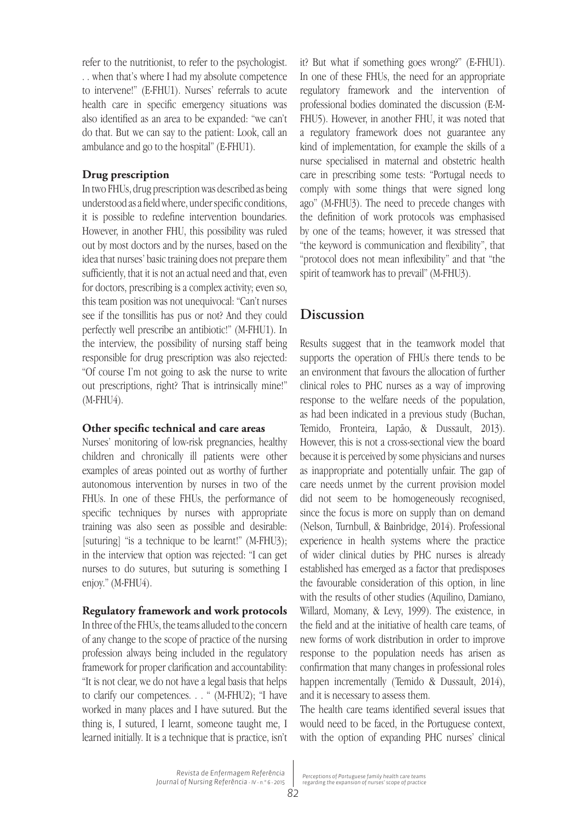refer to the nutritionist, to refer to the psychologist. . . when that's where I had my absolute competence to intervene!" (E-FHU1). Nurses' referrals to acute health care in specific emergency situations was also identified as an area to be expanded: "we can't do that. But we can say to the patient: Look, call an ambulance and go to the hospital" (E-FHU1).

#### **Drug prescription**

In two FHUs, drug prescription was described as being understood as a field where, under specific conditions, it is possible to redefine intervention boundaries. However, in another FHU, this possibility was ruled out by most doctors and by the nurses, based on the idea that nurses' basic training does not prepare them sufficiently, that it is not an actual need and that, even for doctors, prescribing is a complex activity; even so, this team position was not unequivocal: "Can't nurses see if the tonsillitis has pus or not? And they could perfectly well prescribe an antibiotic!" (M-FHU1). In the interview, the possibility of nursing staff being responsible for drug prescription was also rejected: "Of course I'm not going to ask the nurse to write out prescriptions, right? That is intrinsically mine!" (M-FHU4).

#### **Other specific technical and care areas**

Nurses' monitoring of low-risk pregnancies, healthy children and chronically ill patients were other examples of areas pointed out as worthy of further autonomous intervention by nurses in two of the FHUs. In one of these FHUs, the performance of specific techniques by nurses with appropriate training was also seen as possible and desirable: [suturing] "is a technique to be learnt!" (M-FHU3); in the interview that option was rejected: "I can get nurses to do sutures, but suturing is something I enjoy." (M-FHU4).

#### **Regulatory framework and work protocols**

In three of the FHUs, the teams alluded to the concern of any change to the scope of practice of the nursing profession always being included in the regulatory framework for proper clarification and accountability: "It is not clear, we do not have a legal basis that helps to clarify our competences. . . " (M-FHU2); "I have worked in many places and I have sutured. But the thing is, I sutured, I learnt, someone taught me, I learned initially. It is a technique that is practice, isn't it? But what if something goes wrong?" (E-FHU1). In one of these FHUs, the need for an appropriate regulatory framework and the intervention of professional bodies dominated the discussion (E-M-FHU5). However, in another FHU, it was noted that a regulatory framework does not guarantee any kind of implementation, for example the skills of a nurse specialised in maternal and obstetric health care in prescribing some tests: "Portugal needs to comply with some things that were signed long ago" (M-FHU3). The need to precede changes with the definition of work protocols was emphasised by one of the teams; however, it was stressed that "the keyword is communication and flexibility", that "protocol does not mean inflexibility" and that "the spirit of teamwork has to prevail" (M-FHU3).

# **Discussion**

Results suggest that in the teamwork model that supports the operation of FHUs there tends to be an environment that favours the allocation of further clinical roles to PHC nurses as a way of improving response to the welfare needs of the population, as had been indicated in a previous study (Buchan, Temido, Fronteira, Lapão, & Dussault, 2013). However, this is not a cross-sectional view the board because it is perceived by some physicians and nurses as inappropriate and potentially unfair. The gap of care needs unmet by the current provision model did not seem to be homogeneously recognised, since the focus is more on supply than on demand (Nelson, Turnbull, & Bainbridge, 2014). Professional experience in health systems where the practice of wider clinical duties by PHC nurses is already established has emerged as a factor that predisposes the favourable consideration of this option, in line with the results of other studies (Aquilino, Damiano, Willard, Momany, & Levy, 1999). The existence, in the field and at the initiative of health care teams, of new forms of work distribution in order to improve response to the population needs has arisen as confirmation that many changes in professional roles happen incrementally (Temido & Dussault, 2014), and it is necessary to assess them.

The health care teams identified several issues that would need to be faced, in the Portuguese context, with the option of expanding PHC nurses' clinical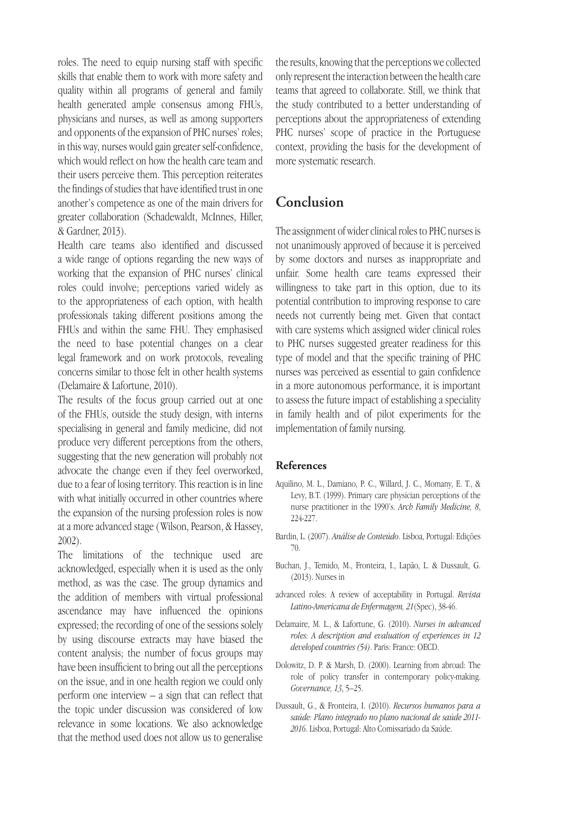roles. The need to equip nursing staff with specific skills that enable them to work with more safety and quality within all programs of general and family health generated ample consensus among FHUs, physicians and nurses, as well as among supporters and opponents of the expansion of PHC nurses' roles; in this way, nurses would gain greater self-confidence, which would reflect on how the health care team and their users perceive them. This perception reiterates the findings of studies that have identified trust in one another's competence as one of the main drivers for greater collaboration (Schadewaldt, McInnes, Hiller, & Gardner, 2013).

Health care teams also identified and discussed a wide range of options regarding the new ways of working that the expansion of PHC nurses' clinical roles could involve; perceptions varied widely as to the appropriateness of each option, with health professionals taking different positions among the FHUs and within the same FHU. They emphasised the need to base potential changes on a clear legal framework and on work protocols, revealing concerns similar to those felt in other health systems (Delamaire & Lafortune, 2010).

The results of the focus group carried out at one of the FHUs, outside the study design, with interns specialising in general and family medicine, did not produce very different perceptions from the others, suggesting that the new generation will probably not advocate the change even if they feel overworked, due to a fear of losing territory. This reaction is in line with what initially occurred in other countries where the expansion of the nursing profession roles is now at a more advanced stage ( Wilson, Pearson, & Hassey, 2002).

The limitations of the technique used are acknowledged, especially when it is used as the only method, as was the case. The group dynamics and the addition of members with virtual professional ascendance may have influenced the opinions expressed; the recording of one of the sessions solely by using discourse extracts may have biased the content analysis; the number of focus groups may have been insufficient to bring out all the perceptions on the issue, and in one health region we could only perform one interview – a sign that can reflect that the topic under discussion was considered of low relevance in some locations. We also acknowledge that the method used does not allow us to generalise

the results, knowing that the perceptions we collected only represent the interaction between the health care teams that agreed to collaborate. Still, we think that the study contributed to a better understanding of perceptions about the appropriateness of extending PHC nurses' scope of practice in the Portuguese context, providing the basis for the development of more systematic research.

# **Conclusion**

The assignment of wider clinical roles to PHC nurses is not unanimously approved of because it is perceived by some doctors and nurses as inappropriate and unfair. Some health care teams expressed their willingness to take part in this option, due to its potential contribution to improving response to care needs not currently being met. Given that contact with care systems which assigned wider clinical roles to PHC nurses suggested greater readiness for this type of model and that the specific training of PHC nurses was perceived as essential to gain confidence in a more autonomous performance, it is important to assess the future impact of establishing a speciality in family health and of pilot experiments for the implementation of family nursing.

#### **References**

- Aquilino, M. L., Damiano, P. C., Willard, J. C., Momany, E. T., & Levy, B.T. (1999). Primary care physician perceptions of the nurse practitioner in the 1990's. *Arch Family Medicine, 8*, 224-227.
- Bardin, L. (2007). *Análise de Conteúdo*. Lisboa, Portugal: Edições 70.
- Buchan, J., Temido, M., Fronteira, I., Lapão, L. & Dussault, G. (2013). Nurses in
- advanced roles: A review of acceptability in Portugal. *Revista Latino-Americana de Enfermagem, 21*(Spec), 38-46.
- Delamaire, M. L., & Lafortune, G. (2010). *Nurses in advanced roles: A description and evaluation of experiences in 12 developed countries (54)*. Paris: France: OECD.
- Dolowitz, D. P. & Marsh, D. (2000). Learning from abroad: The role of policy transfer in contemporary policy-making. *Governance, 13*, 5–25.
- Dussault, G., & Fronteira, I. (2010). *Recursos humanos para a saúde: Plano integrado no plano nacional de saúde 2011- 2016*. Lisboa, Portugal: Alto Comissariado da Saúde.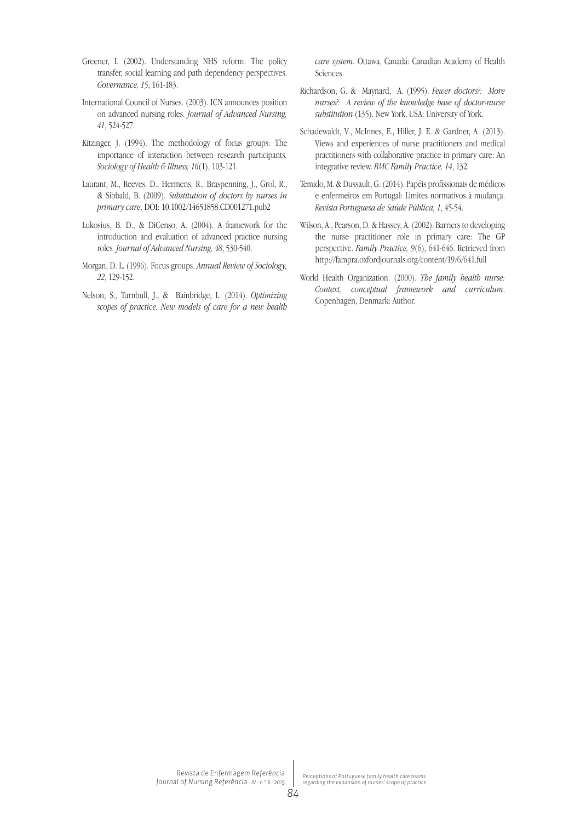- Greener, I. (2002). Understanding NHS reform: The policy transfer, social learning and path dependency perspectives. *Governance, 15*, 161-183.
- International Council of Nurses. (2003). ICN announces position on advanced nursing roles. *Journal of Advanced Nursing, 41*, 524-527.
- Kitzinger, J. (1994). The methodology of focus groups: The importance of interaction between research participants*. Sociology of Health & Illness, 16*(1), 103-121.
- Laurant, M., Reeves, D., Hermens, R., Braspenning, J., Grol, R., & Sibbald, B. (2009). *Substitution of doctors by nurses in primary care*. DOI: 10.1002/14651858.CD001271.pub2
- Lukosius, B. D., & DiCenso, A. (2004). A framework for the introduction and evaluation of advanced practice nursing roles*. Journal of Advanced Nursing, 48*, 530-540.
- Morgan, D. L. (1996). Focus groups. *Annual Review of Sociology, 22*, 129-152.
- Nelson, S., Turnbull, J., & Bainbridge, L. (2014). *Optimizing scopes of practice. New models of care for a new health*

*care system*. Ottawa, Canadá: Canadian Academy of Health Sciences.

- Richardson, G. & Maynard, A. (1995). *Fewer doctors?: More nurses?: A review of the knowledge base of doctor-nurse substitution* (135). New York, USA: University of York.
- Schadewaldt, V., McInnes, E., Hiller, J. E. & Gardner, A. (2013). Views and experiences of nurse practitioners and medical practitioners with collaborative practice in primary care: An integrative review. *BMC Family Practice, 14*, 132.
- Temido, M. & Dussault, G. (2014). Papéis profissionais de médicos e enfermeiros em Portugal: Limites normativos à mudança. *Revista Portuguesa de Saúde Pública, 1*, 45-54.
- Wilson, A., Pearson, D. & Hassey, A. (2002). Barriers to developing the nurse practitioner role in primary care: The GP perspective. *Family Practice, 9*(6), 641-646. Retrieved from http://fampra.oxfordjournals.org/content/19/6/641.full
- World Health Organization. (2000). *The family health nurse: Context, conceptual framework and curriculum*. Copenhagen, Denmark: Author.